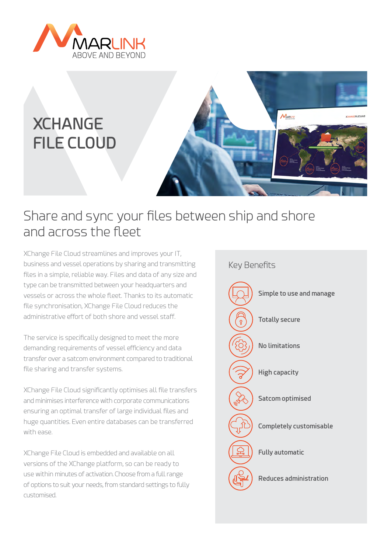

# **XCHANGE FILE CLOUD**



## Share and sync your files between ship and shore and across the fleet

XChange File Cloud streamlines and improves your IT, business and vessel operations by sharing and transmitting files in a simple, reliable way. Files and data of any size and type can be transmitted between your headquarters and vessels or across the whole fleet. Thanks to its automatic file synchronisation, XChange File Cloud reduces the administrative effort of both shore and vessel staff.

The service is specifically designed to meet the more demanding requirements of vessel efficiency and data transfer over a satcom environment compared to traditional file sharing and transfer systems.

XChange File Cloud significantly optimises all file transfers and minimises interference with corporate communications ensuring an optimal transfer of large individual files and huge quantities. Even entire databases can be transferred with ease.

XChange File Cloud is embedded and available on all versions of the XChange platform, so can be ready to use within minutes of activation. Choose from a full range of options to suit your needs, from standard settings to fully customised.